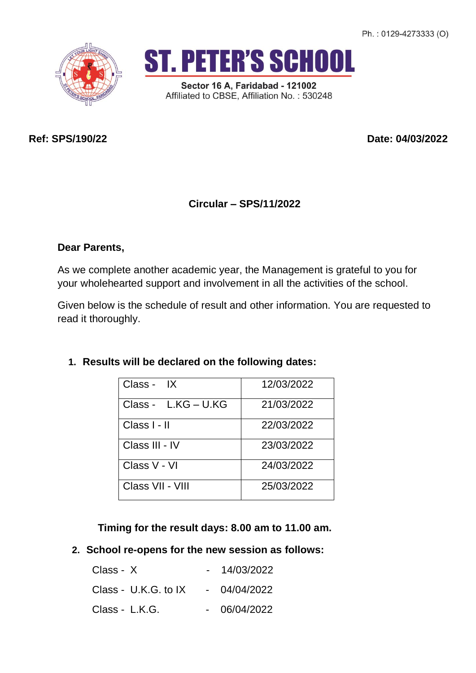Ph.: 0129-4273333 (O)





Sector 16 A, Faridabad - 121002 Affiliated to CBSE, Affiliation No.: 530248

**Ref: SPS/190/22 Date: 04/03/2022**

# **Circular – SPS/11/2022**

## **Dear Parents,**

As we complete another academic year, the Management is grateful to you for your wholehearted support and involvement in all the activities of the school.

Given below is the schedule of result and other information. You are requested to read it thoroughly.

| Class - IX          | 12/03/2022 |
|---------------------|------------|
| Class - L.KG - U.KG | 21/03/2022 |
| Class I - II        | 22/03/2022 |
| Class III - IV      | 23/03/2022 |
| Class V - VI        | 24/03/2022 |
| Class VII - VIII    | 25/03/2022 |

### **1. Results will be declared on the following dates:**

 **Timing for the result days: 8.00 am to 11.00 am.**

**2. School re-opens for the new session as follows:**

| $Class - X$          | 14/03/2022   |
|----------------------|--------------|
| Class - U.K.G. to IX | - 04/04/2022 |
| Class - L.K.G.       | 06/04/2022   |